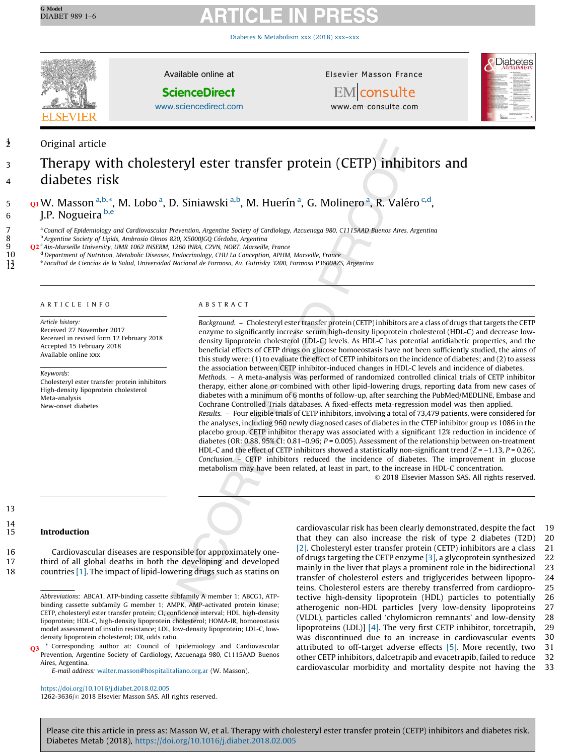Diabetes & [Metabolism](https://doi.org/10.1016/j.diabet.2018.02.005) xxx (2018) xxx–xxx



Available online at

**ScienceDirect** 

[www.sciencedirect.com](http://www.sciencedirect.com/science/journal/12623636)

Elsevier Masson France



**EM** consulte www.em-consulte.com

12 Original article

SEVIE

# <sup>3</sup> Therapy with cholesteryl ester transfer protein (CETP) inhibitors and <sup>4</sup> diabetes risk

# 5 **Q1 W. Masson <sup>a,b,\*</sup>, M. Lobo <sup>a</sup>, D. Siniawski <sup>a,b</sup>, M. Huerín <sup>a</sup>, G. Molinero <sup>a</sup>, R. Valéro <sup>c,d</sup>,** 6 J.P. Nogueira  $b,e$

<sup>a</sup> Council of Epidemiology and Cardiovascular Prevention, Argentine Society of Cardiology, Azcuenaga 980, C1115AAD Buenos Aires, Argentina<br><sup>b</sup> Argentine Society of Lipids, Ambrosio Olmos 820, X5000JGQ Córdoba, Argentina

8 b Argentine Society of Lipids, Ambrosio Olmos 820, X5000JGQ Córdoba, Argentina<br>9 c2<sup>c</sup> Aix-Marseille University, UMR 1062 INSERM, 1260 INRA, C2VN, NORT, Marseille

9  $Q^2$ <sup>c</sup> Aix-Marseille University, UMR 1062 INSERM, 1260 INRA, C2VN, NORT, Marseille, France<br>10 <sup>d</sup> Department of Nutrition, Metabolic Diseases, Endocrinology, CHU La Conception, APHM.

<sup>d</sup> Department of Nutrition, Metabolic Diseases, Endocrinology, CHU La Conception, APHM, Marseille, France<br><sup>e</sup> Facultad de Ciencias de la Salud, Universidad Nacional de Formosa, Av. Gutnisky 3200, Formosa P3600AZ

<sup>e</sup> Facultad de Ciencias de la Salud, Universidad Nacional de Formosa, Av. Gutnisky 3200, Formosa P3600AZS, Argentina

### A R T I C L E I N F O

Article history:

Received 27 November 2017 Received in revised form 12 February 2018 Accepted 15 February 2018 Available online xxx

Keywords:

Cholesteryl ester transfer protein inhibitors High-density lipoprotein cholesterol Meta-analysis New-onset diabetes

### A B S T R A C T

Background. - Cholesteryl ester transfer protein (CETP) inhibitors are a class of drugs that targets the CETP enzyme to significantly increase serum high-density lipoprotein cholesterol (HDL-C) and decrease lowdensity lipoprotein cholesterol (LDL-C) levels. As HDL-C has potential antidiabetic properties, and the beneficial effects of CETP drugs on glucose homoeostasis have not been sufficiently studied, the aims of this study were: (1) to evaluate the effect of CETP inhibitors on the incidence of diabetes; and (2) to assess the association between CETP inhibitor-induced changes in HDL-C levels and incidence of diabetes. Methods. – A meta-analysis was performed of randomized controlled clinical trials of CETP inhibitor therapy, either alone or combined with other lipid-lowering drugs, reporting data from new cases of diabetes with a minimum of 6 months of follow-up, after searching the PubMed/MEDLINE, Embase and Cochrane Controlled Trials databases. A fixed-effects meta-regression model was then applied. Results. – Four eligible trials of CETP inhibitors, involving a total of 73,479 patients, were considered for the analyses, including 960 newly diagnosed cases of diabetes in the CTEP inhibitor group vs 1086 in the placebo group. CETP inhibitor therapy was associated with a significant 12% reduction in incidence of diabetes (OR: 0.88, 95% CI: 0.81-0.96;  $P = 0.005$ ). Assessment of the relationship between on-treatment HDL-C and the effect of CETP inhibitors showed a statistically non-significant trend  $(Z = -1.13, P = 0.26)$ . Conclusion. – CETP inhibitors reduced the incidence of diabetes. The improvement in glucose metabolism may have been related, at least in part, to the increase in HDL-C concentration.

© 2018 Elsevier Masson SAS. All rights reserved.

13  $\frac{14}{15}$ 

### **Introduction**

16 Cardiovascular diseases are responsible for approximately one-17 third of all global deaths in both the developing and developed 18 countries [\[1\].](#page-5-0) The impact of lipid-lowering drugs such as statins on

E-mail address: [walter.masson@hospitalitaliano.org.ar](mailto:walter.masson@hospitalitaliano.org.ar) (W. Masson).

<https://doi.org/10.1016/j.diabet.2018.02.005> 1262-3636/© 2018 Elsevier Masson SAS. All rights reserved. that they can also increase the risk of type 2 diabetes (T2D) 20 [\[2\]](#page-5-0). Cholesteryl ester transfer protein (CETP) inhibitors are a class 21 of drugs targeting the CETP enzyme [\[3\],](#page-5-0) a glycoprotein synthesized 22 mainly in the liver that plays a prominent role in the bidirectional 23 transfer of cholesterol esters and triglycerides between lipopro- 24 teins. Cholesterol esters are thereby transferred from cardiopro- 25 tective high-density lipoprotein (HDL) particles to potentially 26 atherogenic non-HDL particles [very low-density lipoproteins 27 (VLDL), particles called 'chylomicron remnants' and low-density 28 lipoproteins (LDL)] [\[4\].](#page-5-0) The very first CETP inhibitor, torcetrapib, 29 was discontinued due to an increase in cardiovascular events 30 attributed to off-target adverse effects [\[5\]](#page-5-0). More recently, two 31 other CETP inhibitors, dalcetrapib and evacetrapib, failed to reduce 32 cardiovascular morbidity and mortality despite not having the 33

cardiovascular risk has been clearly demonstrated, despite the fact 19

Abbreviations: ABCA1, ATP-binding cassette subfamily A member 1; ABCG1, ATPbinding cassette subfamily G member 1; AMPK, AMP-activated protein kinase; CETP, cholesteryl ester transfer protein; CI, confidence interval; HDL, high-density lipoprotein; HDL-C, high-density lipoprotein cholesterol; HOMA-IR, homoeostasis model assessment of insulin resistance; LDL, low-density lipoprotein; LDL-C, lowdensity lipoprotein cholesterol; OR, odds ratio.

<sup>\*</sup> Corresponding author at: Council of Epidemiology and Cardiovascular Prevention, Argentine Society of Cardiology, Azcuenaga 980, C1115AAD Buenos Aires, Argentina.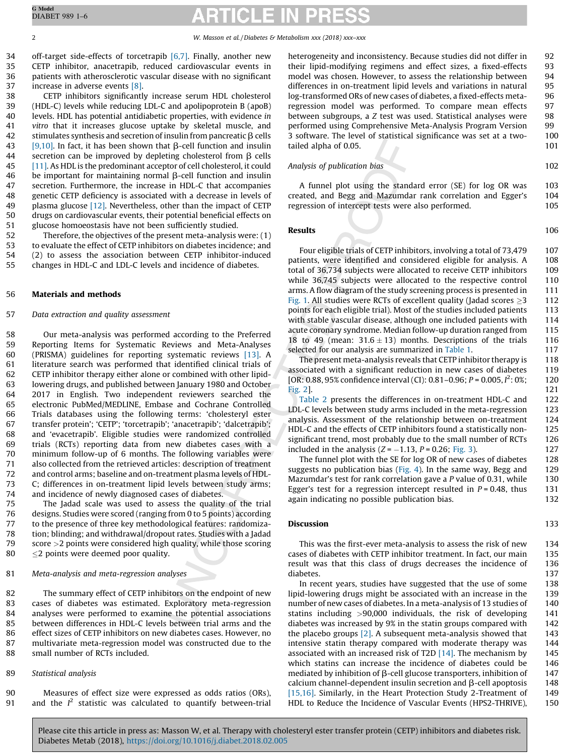34 off-target side-effects of torcetrapib  $[6,7]$ . Finally, another new CETP inhibitor, anacetrapib, reduced cardiovascular events in patients with atherosclerotic vascular disease with no significant increase in adverse events [\[8\].](#page-5-0)

 CETP inhibitors significantly increase serum HDL cholesterol (HDL-C) levels while reducing LDL-C and apolipoprotein B (apoB) levels. HDL has potential antidiabetic properties, with evidence in vitro that it increases glucose uptake by skeletal muscle, and 42 stimulates synthesis and secretion of insulin from pancreatic  $\beta$  cells [\[9,10\].](#page-5-0) In fact, it has been shown that  $\beta$ -cell function and insulin 44 secretion can be improved by depleting cholesterol from  $\beta$  cells [\[11\]](#page-5-0). As HDL is the predominant acceptor of cell cholesterol, it could be important for maintaining normal  $\beta$ -cell function and insulin secretion. Furthermore, the increase in HDL-C that accompanies genetic CETP deficiency is associated with a decrease in levels of 49 plasma glucose  $[12]$ . Nevertheless, other than the impact of CETP drugs on cardiovascular events, their potential beneficial effects on glucose homoeostasis have not been sufficiently studied.

 Therefore, the objectives of the present meta-analysis were: (1) to evaluate the effect of CETP inhibitors on diabetes incidence; and (2) to assess the association between CETP inhibitor-induced changes in HDL-C and LDL-C levels and incidence of diabetes.

### 56 Materials and methods

### 57 Data extraction and quality assessment

 Our meta-analysis was performed according to the Preferred Reporting Items for Systematic Reviews and Meta-Analyses (PRISMA) guidelines for reporting systematic reviews [\[13\]](#page-5-0). A literature search was performed that identified clinical trials of CETP inhibitor therapy either alone or combined with other lipid- lowering drugs, and published between January 1980 and October 2017 in English. Two independent reviewers searched the electronic PubMed/MEDLINE, Embase and Cochrane Controlled Trials databases using the following terms: 'cholesteryl ester transfer protein'; 'CETP'; 'torcetrapib'; 'anacetrapib'; 'dalcetrapib'; and 'evacetrapib'. Eligible studies were randomized controlled trials (RCTs) reporting data from new diabetes cases with a minimum follow-up of 6 months. The following variables were also collected from the retrieved articles: description of treatment and control arms; baseline and on-treatment plasma levels of HDL- C; differences in on-treatment lipid levels between study arms; and incidence of newly diagnosed cases of diabetes.

 The Jadad scale was used to assess the quality of the trial designs. Studies were scored (ranging from 0 to 5 points) according to the presence of three key methodological features: randomiza- tion; blinding; and withdrawal/dropout rates. Studies with a Jadad score >2 points were considered high quality, while those scoring  $\leq$  2 points were deemed poor quality.

81 Meta-analysis and meta-regression analyses

 The summary effect of CETP inhibitors on the endpoint of new cases of diabetes was estimated. Exploratory meta-regression analyses were performed to examine the potential associations between differences in HDL-C levels between trial arms and the effect sizes of CETP inhibitors on new diabetes cases. However, no multivariate meta-regression model was constructed due to the small number of RCTs included.

### 89 Statistical analysis

90 Measures of effect size were expressed as odds ratios (ORs), 91 and the  $I^2$  statistic was calculated to quantify between-trial

heterogeneity and inconsistency. Because studies did not differ in 92 their lipid-modifying regimens and effect sizes, a fixed-effects 93 model was chosen. However, to assess the relationship between 94 differences in on-treatment lipid levels and variations in natural 95 log-transformed ORs of new cases of diabetes, a fixed-effects meta- 96 regression model was performed. To compare mean effects 97 between subgroups, a Z test was used. Statistical analyses were 98 performed using Comprehensive Meta-Analysis Program Version 99 3 software. The level of statistical significance was set at a two- 100 tailed alpha of 0.05. 101

Analysis of publication bias 102

A funnel plot using the standard error (SE) for log OR was 103 created, and Begg and Mazumdar rank correlation and Egger's 104 regression of intercept tests were also performed. 105

Results 106

Four eligible trials of CETP inhibitors, involving a total of 73,479 107 patients, were identified and considered eligible for analysis. A 108 total of 36,734 subjects were allocated to receive CETP inhibitors 109 while 36,745 subjects were allocated to the respective control 110 arms. A flow diagram of the study screening process is presented in 111 [Fig.](#page-2-0) 1. All studies were RCTs of excellent quality (Jadad scores  $\geq$ 3 112 points for each eligible trial). Most of the studies included patients 113 with stable vascular disease, although one included patients with 114 acute coronary syndrome. Median follow-up duration ranged from 115 18 to 49 (mean:  $31.6 \pm 13$ ) months. Descriptions of the trials 116 selected for our analysis are summarized in [Table](#page-2-0) 1. 117

The present meta-analysis reveals that CETP inhibitor therapy is 118 associated with a significant reduction in new cases of diabetes 119 [OR: 0.88, 95% confidence interval (CI): 0.81-0.96;  $P = 0.005$ ,  $I^2$ : 0%; 120 [Fig.](#page-3-0) 2]. 121

[Table](#page-3-0) 2 presents the differences in on-treatment HDL-C and 122 LDL-C levels between study arms included in the meta-regression 123 analysis. Assessment of the relationship between on-treatment 124 HDL-C and the effects of CETP inhibitors found a statistically non- 125 significant trend, most probably due to the small number of RCTs 126 included in the analysis  $(Z = -1.13, P = 0.26; Fig. 3)$  $(Z = -1.13, P = 0.26; Fig. 3)$  $(Z = -1.13, P = 0.26; Fig. 3)$ . 127

The funnel plot with the SE for log OR of new cases of diabetes 128 suggests no publication bias ([Fig.](#page-4-0) 4). In the same way, Begg and  $129$ Mazumdar's test for rank correlation gave a  $P$  value of 0.31, while 130 Egger's test for a regression intercept resulted in  $P = 0.48$ , thus 131 again indicating no possible publication bias. 132

### **Discussion** 133

This was the first-ever meta-analysis to assess the risk of new 134 cases of diabetes with CETP inhibitor treatment. In fact, our main 135 result was that this class of drugs decreases the incidence of 136 diabetes. 137

In recent years, studies have suggested that the use of some 138 lipid-lowering drugs might be associated with an increase in the 139 number of new cases of diabetes. In a meta-analysis of 13 studies of 140 statins including >90,000 individuals, the risk of developing 141 diabetes was increased by 9% in the statin groups compared with 142 the placebo groups  $[2]$ . A subsequent meta-analysis showed that 143 intensive statin therapy compared with moderate therapy was 144 associated with an increased risk of T2D  $[14]$ . The mechanism by 145 which statins can increase the incidence of diabetes could be 146 mediated by inhibition of  $\beta$ -cell glucose transporters, inhibition of 147 calcium channel-dependent insulin secretion and  $\beta$ -cell apoptosis 148 [\[15,16\].](#page-5-0) Similarly, in the Heart Protection Study 2-Treatment of 149 HDL to Reduce the Incidence of Vascular Events (HPS2-THRIVE), 150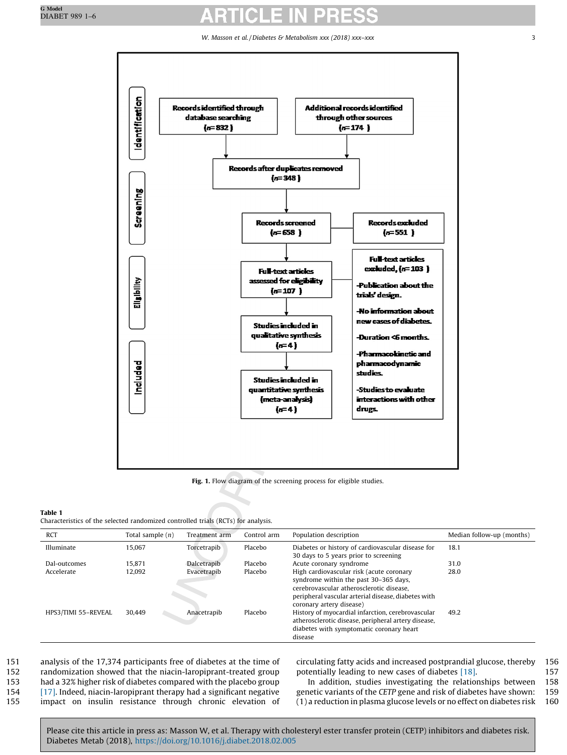W. Masson et al. / Diabetes & Metabolism xxx (2018) xxx-xxx 33

<span id="page-2-0"></span>

Fig. 1. Flow diagram of the screening process for eligible studies.

### Table 1

Characteristics of the selected randomized controlled trials (RCTs) for analysis.

| <b>RCT</b>          | Total sample $(n)$ | Treatment arm | Control arm | Population description                                                                                                                                                                                           | Median follow-up (months) |  |
|---------------------|--------------------|---------------|-------------|------------------------------------------------------------------------------------------------------------------------------------------------------------------------------------------------------------------|---------------------------|--|
| Illuminate          | 15.067             | Torcetrapib   | Placebo     | Diabetes or history of cardiovascular disease for<br>30 days to 5 years prior to screening                                                                                                                       | 18.1                      |  |
| Dal-outcomes        | 15.871             | Dalcetrapib   | Placebo     | Acute coronary syndrome                                                                                                                                                                                          | 31.0                      |  |
| Accelerate          | 12.092             | Evacetrapib   | Placebo     | High cardiovascular risk (acute coronary<br>syndrome within the past 30-365 days,<br>cerebrovascular atherosclerotic disease,<br>peripheral vascular arterial disease, diabetes with<br>coronary artery disease) | 28.0                      |  |
| HPS3/TIMI 55-REVEAL | 30.449             | Anacetrapib   | Placebo     | History of myocardial infarction, cerebrovascular<br>atherosclerotic disease, peripheral artery disease,<br>diabetes with symptomatic coronary heart<br>disease                                                  | 49.2                      |  |

 analysis of the 17,374 participants free of diabetes at the time of randomization showed that the niacin-laropiprant-treated group had a 32% higher risk of diabetes compared with the placebo group [\[17\]](#page-5-0). Indeed, niacin-laropiprant therapy had a significant negative impact on insulin resistance through chronic elevation of circulating fatty acids and increased postprandial glucose, thereby 156 potentially leading to new cases of diabetes [\[18\].](#page-5-0) 157

In addition, studies investigating the relationships between 158 genetic variants of the CETP gene and risk of diabetes have shown: 159 (1) a reduction in plasma glucose levels or no effect on diabetes risk 160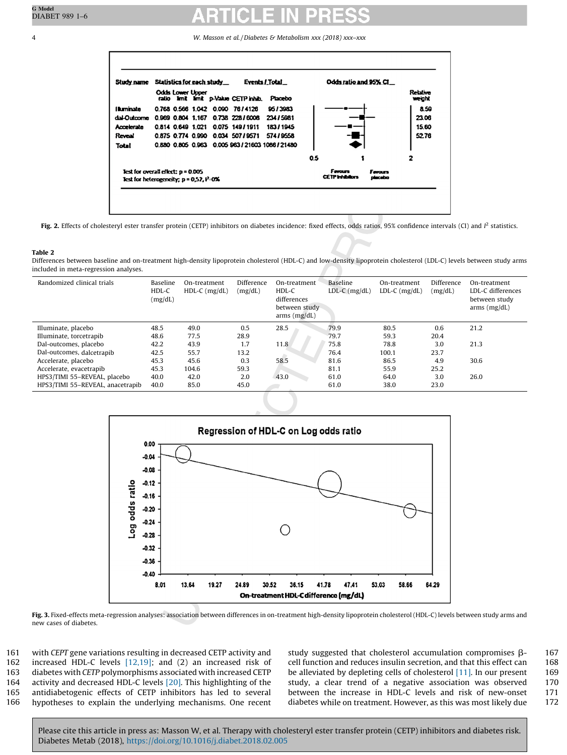<span id="page-3-0"></span>4 W. Masson et al. /Diabetes & Metabolism xxx (2018) xxx–xxx



Fig. 2. Effects of cholesteryl ester transfer protein (CETP) inhibitors on diabetes incidence: fixed effects, odds ratios, 95% confidence intervals (CI) and  $l^2$  statistics.

### Table 2

Differences between baseline and on-treatment high-density lipoprotein cholesterol (HDL-C) and low-density lipoprotein cholesterol (LDL-C) levels between study arms included in meta-regression analyses.

| Randomized clinical trials       | Baseline<br>HDL-C<br>(mg/dL) | On-treatment<br>$HDL-C$ (mg/dL) | Difference<br>(mg/dL) | On-treatment<br>HDL-C<br>differences<br>between study<br>arms (mg/dL) | Baseline<br>$LDL-C$ ( $mg/dL$ ) | On-treatment<br>$LDL-C$ ( $mg/dL$ ) | Difference<br>(mg/dL) | On-treatment<br>LDL-C differences<br>between study<br>arms (mg/dL) |
|----------------------------------|------------------------------|---------------------------------|-----------------------|-----------------------------------------------------------------------|---------------------------------|-------------------------------------|-----------------------|--------------------------------------------------------------------|
| Illuminate, placebo              | 48.5                         | 49.0                            | 0.5                   | 28.5                                                                  | 79.9                            | 80.5                                | 0.6                   | 21.2                                                               |
| Illuminate, torcetrapib          | 48.6                         | 77.5                            | 28.9                  |                                                                       | 79.7                            | 59.3                                | 20.4                  |                                                                    |
| Dal-outcomes, placebo            | 42.2                         | 43.9                            | 1.7                   | 11.8                                                                  | 75.8                            | 78.8                                | 3.0                   | 21.3                                                               |
| Dal-outcomes, dalcetrapib        | 42.5                         | 55.7                            | 13.2                  |                                                                       | 76.4                            | 100.1                               | 23.7                  |                                                                    |
| Accelerate, placebo              | 45.3                         | 45.6                            | 0.3                   | 58.5                                                                  | 81.6                            | 86.5                                | 4.9                   | 30.6                                                               |
| Accelerate, evacetrapib          | 45.3                         | 104.6                           | 59.3                  |                                                                       | 81.1                            | 55.9                                | 25.2                  |                                                                    |
| HPS3/TIMI 55-REVEAL, placebo     | 40.0                         | 42.0                            | 2.0                   | 43.0                                                                  | 61.0                            | 64.0                                | 3.0                   | 26.0                                                               |
| HPS3/TIMI 55-REVEAL, anacetrapib | 40.0                         | 85.0                            | 45.0                  |                                                                       | 61.0                            | 38.0                                | 23.0                  |                                                                    |



Fig. 3. Fixed-effects meta-regression analyses: association between differences in on-treatment high-density lipoprotein cholesterol (HDL-C) levels between study arms and new cases of diabetes.

 with CEPT gene variations resulting in decreased CETP activity and increased HDL-C levels [\[12,19\]](#page-5-0); and (2) an increased risk of diabetes with CETP polymorphisms associated with increased CETP activity and decreased HDL-C levels [\[20\].](#page-5-0) This highlighting of the antidiabetogenic effects of CETP inhibitors has led to several hypotheses to explain the underlying mechanisms. One recent study suggested that cholesterol accumulation compromises  $\beta$ - 167 cell function and reduces insulin secretion, and that this effect can 168 cell function and reduces insulin secretion, and that this effect can be alleviated by depleting cells of cholesterol  $[11]$ . In our present 169 study, a clear trend of a negative association was observed 170 between the increase in HDL-C levels and risk of new-onset 171 diabetes while on treatment. However, as this was most likely due 172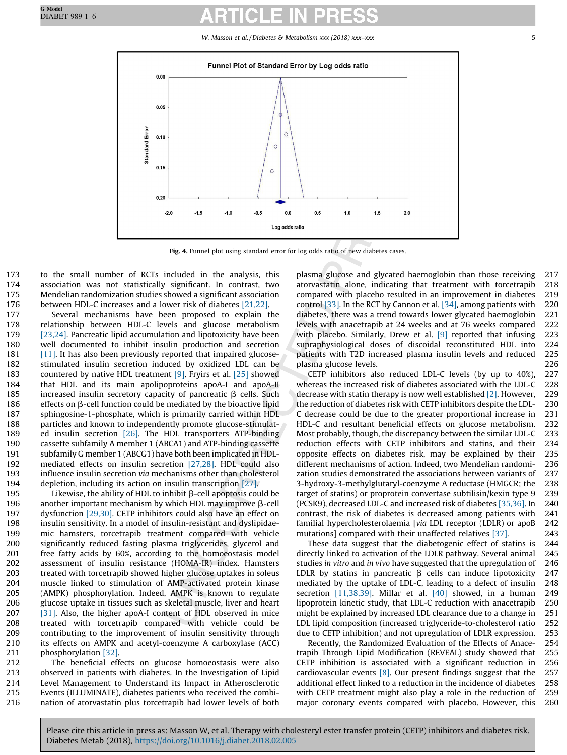W. Masson et al. / Diabetes & Metabolism xxx (2018) xxx-xxx 5

<span id="page-4-0"></span>

Fig. 4. Funnel plot using standard error for log odds ratio of new diabetes cases.

 to the small number of RCTs included in the analysis, this association was not statistically significant. In contrast, two Mendelian randomization studies showed a significant association between HDL-C increases and a lower risk of diabetes [\[21,22\]](#page-5-0).

 Several mechanisms have been proposed to explain the relationship between HDL-C levels and glucose metabolism [\[23,24\].](#page-5-0) Pancreatic lipid accumulation and lipotoxicity have been well documented to inhibit insulin production and secretion [\[11\]](#page-5-0). It has also been previously reported that impaired glucose- stimulated insulin secretion induced by oxidized LDL can be countered by native HDL treatment [\[9\]](#page-5-0). Fryirs et al. [\[25\]](#page-5-0) showed that HDL and its main apolipoproteins apoA-I and apoA-II 185 increased insulin secretory capacity of pancreatic  $\beta$  cells. Such 186 effects on  $\beta$ -cell function could be mediated by the bioactive lipid sphingosine-1-phosphate, which is primarily carried within HDL particles and known to independently promote glucose-stimulat-189 ed insulin secretion [\[26\]](#page-5-0). The HDL transporters ATP-binding cassette subfamily A member 1 (ABCA1) and ATP-binding cassette subfamily G member 1 (ABCG1) have both been implicated in HDL- mediated effects on insulin secretion [\[27,28\]](#page-5-0). HDL could also influence insulin secretion via mechanisms other than cholesterol depletion, including its action on insulin transcription [\[27\].](#page-5-0)

195 Likewise, the ability of HDL to inhibit  $\beta$ -cell apoptosis could be 196 another important mechanism by which HDL may improve  $\beta$ -cell 197 dysfunction [\[29,30\].](#page-5-0) CETP inhibitors could also have an effect on insulin sensitivity. In a model of insulin-resistant and dyslipidae- mic hamsters, torcetrapib treatment compared with vehicle significantly reduced fasting plasma triglycerides, glycerol and free fatty acids by 60%, according to the homoeostasis model assessment of insulin resistance (HOMA-IR) index. Hamsters treated with torcetrapib showed higher glucose uptakes in soleus muscle linked to stimulation of AMP-activated protein kinase (AMPK) phosphorylation. Indeed, AMPK is known to regulate glucose uptake in tissues such as skeletal muscle, liver and heart [\[31\]](#page-5-0). Also, the higher apoA-I content of HDL observed in mice treated with torcetrapib compared with vehicle could be contributing to the improvement of insulin sensitivity through its effects on AMPK and acetyl-coenzyme A carboxylase (ACC) phosphorylation [\[32\].](#page-5-0)

 The beneficial effects on glucose homoeostasis were also observed in patients with diabetes. In the Investigation of Lipid Level Management to Understand its Impact in Atherosclerotic Events (ILLUMINATE), diabetes patients who received the combi-nation of atorvastatin plus torcetrapib had lower levels of both plasma glucose and glycated haemoglobin than those receiving 217 atorvastatin alone, indicating that treatment with torcetrapib 218 compared with placebo resulted in an improvement in diabetes 219 control [\[33\]](#page-5-0). In the RCT by Cannon et al. [\[34\],](#page-5-0) among patients with 220 diabetes, there was a trend towards lower glycated haemoglobin 221 levels with anacetrapib at 24 weeks and at 76 weeks compared 222 with placebo. Similarly, Drew et al. [\[9\]](#page-5-0) reported that infusing 223 supraphysiological doses of discoidal reconstituted HDL into 224 patients with T2D increased plasma insulin levels and reduced 225 plasma glucose levels. 226

CETP inhibitors also reduced LDL-C levels (by up to 40%), 227 whereas the increased risk of diabetes associated with the LDL-C 228 decrease with statin therapy is now well established [\[2\]](#page-5-0). However, 229 the reduction of diabetes risk with CETP inhibitors despite the LDL- 230 C decrease could be due to the greater proportional increase in 231 HDL-C and resultant beneficial effects on glucose metabolism. 232 Most probably, though, the discrepancy between the similar LDL-C 233 reduction effects with CETP inhibitors and statins, and their 234 opposite effects on diabetes risk, may be explained by their 235 different mechanisms of action. Indeed, two Mendelian randomi- 236 zation studies demonstrated the associations between variants of 237 3-hydroxy-3-methylglutaryl-coenzyme A reductase (HMGCR; the 238 target of statins) or proprotein convertase subtilisin/kexin type 9 239 (PCSK9), decreased LDL-C and increased risk of diabetes [\[35,36\]](#page-5-0). In 240 contrast, the risk of diabetes is decreased among patients with 241 familial hypercholesterolaemia [via LDL receptor (LDLR) or apoB 242 mutations] compared with their unaffected relatives [\[37\].](#page-5-0) 243

These data suggest that the diabetogenic effect of statins is 244 directly linked to activation of the LDLR pathway. Several animal 245 studies in vitro and in vivo have suggested that the upregulation of 246 LDLR by statins in pancreatic  $\beta$  cells can induce lipotoxicity 247 mediated by the uptake of LDL-C, leading to a defect of insulin 248 secretion [\[11,38,39\].](#page-5-0) Millar et al. [\[40\]](#page-5-0) showed, in a human 249 lipoprotein kinetic study, that LDL-C reduction with anacetrapib 250 might be explained by increased LDL clearance due to a change in 251 LDL lipid composition (increased triglyceride-to-cholesterol ratio 252 due to CETP inhibition) and not upregulation of LDLR expression. 253

Recently, the Randomized Evaluation of the Effects of Anace- 254 trapib Through Lipid Modification (REVEAL) study showed that 255 CETP inhibition is associated with a significant reduction in 256 cardiovascular events [\[8\]](#page-5-0). Our present findings suggest that the 257 additional effect linked to a reduction in the incidence of diabetes 258 with CETP treatment might also play a role in the reduction of 259 major coronary events compared with placebo. However, this 260